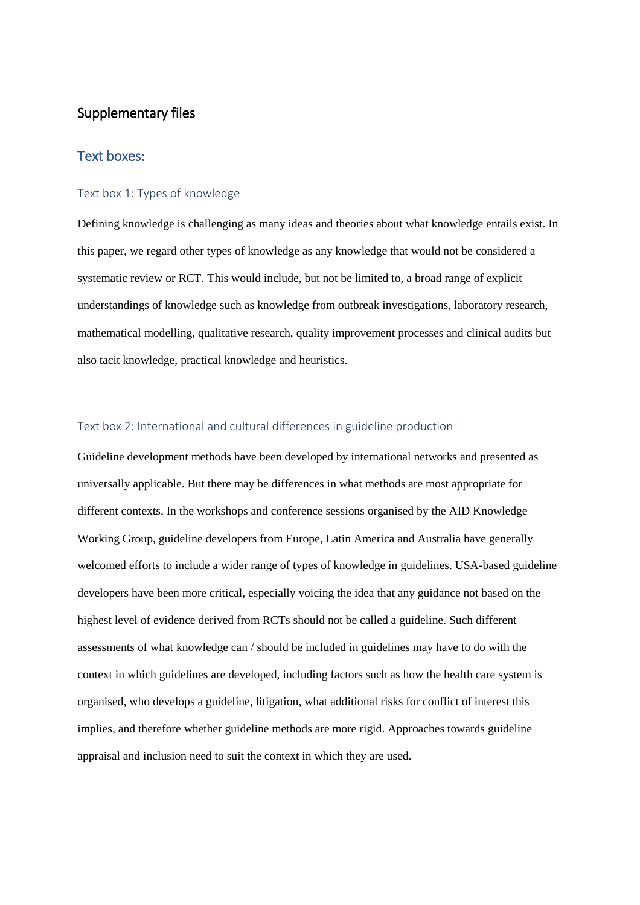# Supplementary files

# Text boxes:

# Text box 1: Types of knowledge

Defining knowledge is challenging as many ideas and theories about what knowledge entails exist. In this paper, we regard other types of knowledge as any knowledge that would not be considered a systematic review or RCT. This would include, but not be limited to, a broad range of explicit understandings of knowledge such as knowledge from outbreak investigations, laboratory research, mathematical modelling, qualitative research, quality improvement processes and clinical audits but also tacit knowledge, practical knowledge and heuristics.

# Text box 2: International and cultural differences in guideline production

Guideline development methods have been developed by international networks and presented as universally applicable. But there may be differences in what methods are most appropriate for different contexts. In the workshops and conference sessions organised by the AID Knowledge Working Group, guideline developers from Europe, Latin America and Australia have generally welcomed efforts to include a wider range of types of knowledge in guidelines. USA-based guideline developers have been more critical, especially voicing the idea that any guidance not based on the highest level of evidence derived from RCTs should not be called a guideline. Such different assessments of what knowledge can / should be included in guidelines may have to do with the context in which guidelines are developed, including factors such as how the health care system is organised, who develops a guideline, litigation, what additional risks for conflict of interest this implies, and therefore whether guideline methods are more rigid. Approaches towards guideline appraisal and inclusion need to suit the context in which they are used.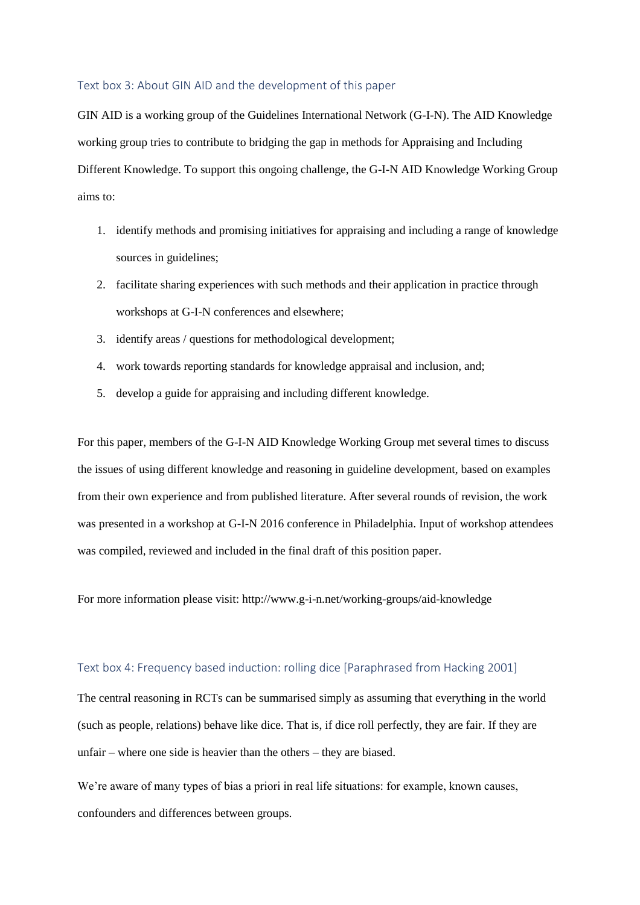#### Text box 3: About GIN AID and the development of this paper

GIN AID is a working group of the Guidelines International Network (G-I-N). The AID Knowledge working group tries to contribute to bridging the gap in methods for Appraising and Including Different Knowledge. To support this ongoing challenge, the G-I-N AID Knowledge Working Group aims to:

- 1. identify methods and promising initiatives for appraising and including a range of knowledge sources in guidelines;
- 2. facilitate sharing experiences with such methods and their application in practice through workshops at G-I-N conferences and elsewhere;
- 3. identify areas / questions for methodological development;
- 4. work towards reporting standards for knowledge appraisal and inclusion, and;
- 5. develop a guide for appraising and including different knowledge.

For this paper, members of the G-I-N AID Knowledge Working Group met several times to discuss the issues of using different knowledge and reasoning in guideline development, based on examples from their own experience and from published literature. After several rounds of revision, the work was presented in a workshop at G-I-N 2016 conference in Philadelphia. Input of workshop attendees was compiled, reviewed and included in the final draft of this position paper.

For more information please visit: http://www.g-i-n.net/working-groups/aid-knowledge

# Text box 4: Frequency based induction: rolling dice [Paraphrased from Hacking 2001]

The central reasoning in RCTs can be summarised simply as assuming that everything in the world (such as people, relations) behave like dice. That is, if dice roll perfectly, they are fair. If they are unfair – where one side is heavier than the others – they are biased.

We're aware of many types of bias a priori in real life situations: for example, known causes, confounders and differences between groups.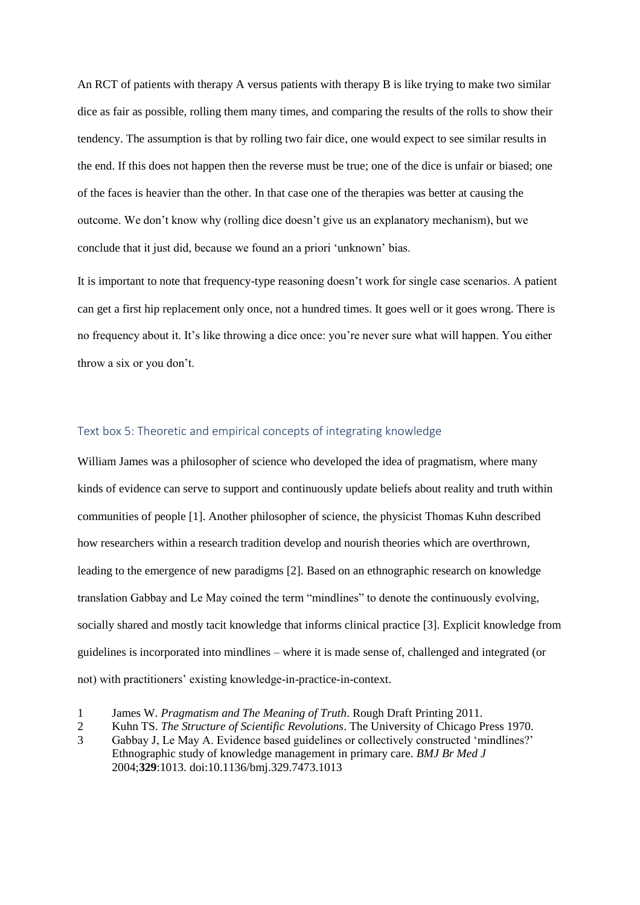An RCT of patients with therapy A versus patients with therapy B is like trying to make two similar dice as fair as possible, rolling them many times, and comparing the results of the rolls to show their tendency. The assumption is that by rolling two fair dice, one would expect to see similar results in the end. If this does not happen then the reverse must be true; one of the dice is unfair or biased; one of the faces is heavier than the other. In that case one of the therapies was better at causing the outcome. We don't know why (rolling dice doesn't give us an explanatory mechanism), but we conclude that it just did, because we found an a priori 'unknown' bias.

It is important to note that frequency-type reasoning doesn't work for single case scenarios. A patient can get a first hip replacement only once, not a hundred times. It goes well or it goes wrong. There is no frequency about it. It's like throwing a dice once: you're never sure what will happen. You either throw a six or you don't.

# Text box 5: Theoretic and empirical concepts of integrating knowledge

William James was a philosopher of science who developed the idea of pragmatism, where many kinds of evidence can serve to support and continuously update beliefs about reality and truth within communities of people [1]. Another philosopher of science, the physicist Thomas Kuhn described how researchers within a research tradition develop and nourish theories which are overthrown, leading to the emergence of new paradigms [2]. Based on an ethnographic research on knowledge translation Gabbay and Le May coined the term "mindlines" to denote the continuously evolving, socially shared and mostly tacit knowledge that informs clinical practice [3]. Explicit knowledge from guidelines is incorporated into mindlines – where it is made sense of, challenged and integrated (or not) with practitioners' existing knowledge-in-practice-in-context.

<sup>1</sup> James W. *Pragmatism and The Meaning of Truth*. Rough Draft Printing 2011.

<sup>2</sup> Kuhn TS. *The Structure of Scientific Revolutions*. The University of Chicago Press 1970.

<sup>3</sup> Gabbay J, Le May A. Evidence based guidelines or collectively constructed 'mindlines?' Ethnographic study of knowledge management in primary care. *BMJ Br Med J* 2004;**329**:1013. doi:10.1136/bmj.329.7473.1013